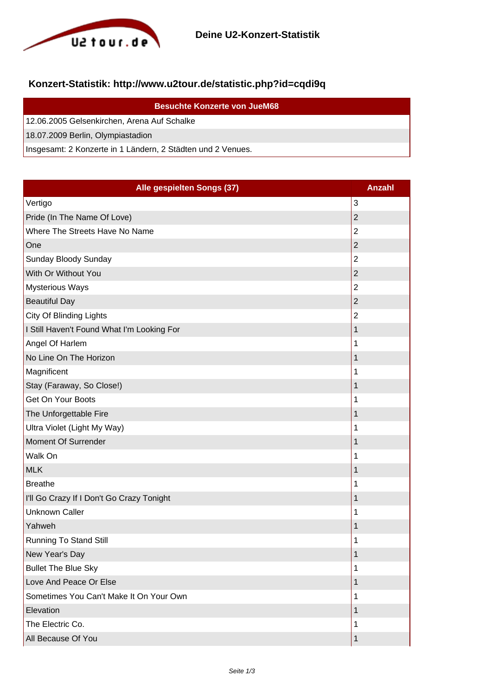

## **Konzert-Statistik: http://www.u2tour.de/statistic.php?id=cqdi9q**

| <b>Besuchte Konzerte von JueM68</b>                         |
|-------------------------------------------------------------|
| 12.06.2005 Gelsenkirchen, Arena Auf Schalke                 |
| 18.07.2009 Berlin, Olympiastadion                           |
| Insgesamt: 2 Konzerte in 1 Ländern, 2 Städten und 2 Venues. |

| Alle gespielten Songs (37)                 | <b>Anzahl</b>  |
|--------------------------------------------|----------------|
| Vertigo                                    | 3              |
| Pride (In The Name Of Love)                | $\overline{2}$ |
| Where The Streets Have No Name             | $\overline{2}$ |
| One                                        | $\overline{c}$ |
| Sunday Bloody Sunday                       | $\overline{2}$ |
| With Or Without You                        | $\overline{2}$ |
| <b>Mysterious Ways</b>                     | $\overline{2}$ |
| <b>Beautiful Day</b>                       | $\overline{2}$ |
| City Of Blinding Lights                    | $\overline{2}$ |
| I Still Haven't Found What I'm Looking For | 1              |
| Angel Of Harlem                            | 1              |
| No Line On The Horizon                     | $\mathbf 1$    |
| Magnificent                                | 1              |
| Stay (Faraway, So Close!)                  | 1              |
| Get On Your Boots                          | 1              |
| The Unforgettable Fire                     | 1              |
| Ultra Violet (Light My Way)                | 1              |
| Moment Of Surrender                        | 1              |
| Walk On                                    | 1              |
| <b>MLK</b>                                 | 1              |
| <b>Breathe</b>                             | 1              |
| I'll Go Crazy If I Don't Go Crazy Tonight  | 1              |
| <b>Unknown Caller</b>                      | 1              |
| Yahweh                                     | $\mathbf 1$    |
| <b>Running To Stand Still</b>              | 1              |
| New Year's Day                             | 1              |
| <b>Bullet The Blue Sky</b>                 | 1              |
| Love And Peace Or Else                     | 1              |
| Sometimes You Can't Make It On Your Own    | 1              |
| Elevation                                  | $\mathbf 1$    |
| The Electric Co.                           | 1              |
| All Because Of You                         | 1              |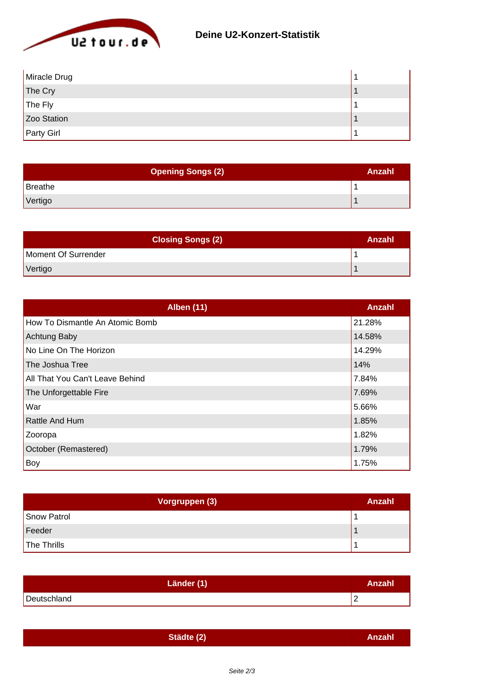

| Miracle Drug      |  |
|-------------------|--|
| The Cry           |  |
| The Fly           |  |
| Zoo Station       |  |
| <b>Party Girl</b> |  |

| <b>Opening Songs (2)</b> | Anzahl |
|--------------------------|--------|
| Breathe                  |        |
| Vertigo                  |        |

| <b>Closing Songs (2)</b> | Anzahl |
|--------------------------|--------|
| Moment Of Surrender      |        |
| Vertigo                  |        |

| <b>Alben (11)</b>               | Anzahl |
|---------------------------------|--------|
| How To Dismantle An Atomic Bomb | 21.28% |
| <b>Achtung Baby</b>             | 14.58% |
| No Line On The Horizon          | 14.29% |
| The Joshua Tree                 | 14%    |
| All That You Can't Leave Behind | 7.84%  |
| The Unforgettable Fire          | 7.69%  |
| War                             | 5.66%  |
| Rattle And Hum                  | 1.85%  |
| Zooropa                         | 1.82%  |
| October (Remastered)            | 1.79%  |
| Boy                             | 1.75%  |

| Vorgruppen (3) | Anzahl |
|----------------|--------|
| Snow Patrol    |        |
| Feeder         |        |
| The Thrills    |        |

| Länder (1)  | Anzahl |
|-------------|--------|
| Deutschland | -      |

| Städte (2) | Anzahl |
|------------|--------|
|            |        |